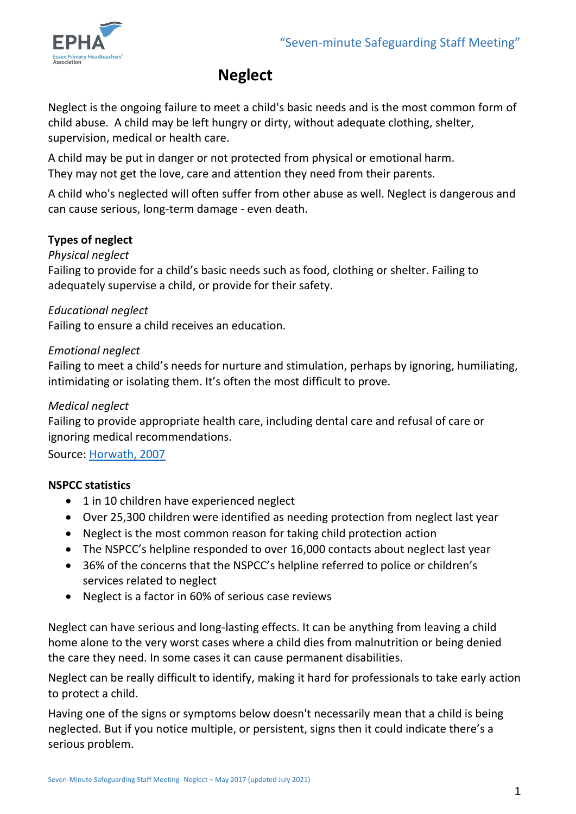

# **Neglect**

Neglect is the ongoing failure to meet a child's basic needs and is the most common form of child abuse. A child may be left hungry or dirty, without adequate clothing, shelter, supervision, medical or health care.

A child may be put in danger or not protected from physical or emotional harm. They may not get the love, care and attention they need from their parents.

A child who's neglected will often suffer from other abuse as well. Neglect is dangerous and can cause serious, long-term damage - even death.

# **Types of neglect**

## *Physical neglect*

Failing to provide for a child's basic needs such as food, clothing or shelter. Failing to adequately supervise a child, or provide for their safety.

#### *Educational neglect*

Failing to ensure a child receives an education.

#### *Emotional neglect*

Failing to meet a child's needs for nurture and stimulation, perhaps by ignoring, humiliating, intimidating or isolating them. It's often the most difficult to prove.

#### *Medical neglect*

Failing to provide appropriate health care, including dental care and refusal of care or ignoring medical recommendations.

Source: [Horwath, 2007](https://www.nspcc.org.uk/preventing-abuse/child-abuse-and-neglect/neglect/#pageref29812)

## **NSPCC statistics**

- 1 in 10 children have experienced neglect
- Over 25,300 children were identified as needing protection from neglect last year
- Neglect is the most common reason for taking child protection action
- The NSPCC's helpline responded to over 16,000 contacts about neglect last year
- 36% of the concerns that the NSPCC's helpline referred to police or children's services related to neglect
- Neglect is a factor in 60% of serious case reviews

Neglect can have serious and long-lasting effects. It can be anything from leaving a child home alone to the very worst cases where a child dies from malnutrition or being denied the care they need. In some cases it can cause permanent disabilities.

Neglect can be really difficult to identify, making it hard for professionals to take early action to protect a child.

Having one of the signs or symptoms below doesn't necessarily mean that a child is being neglected. But if you notice multiple, or persistent, signs then it could indicate there's a serious problem.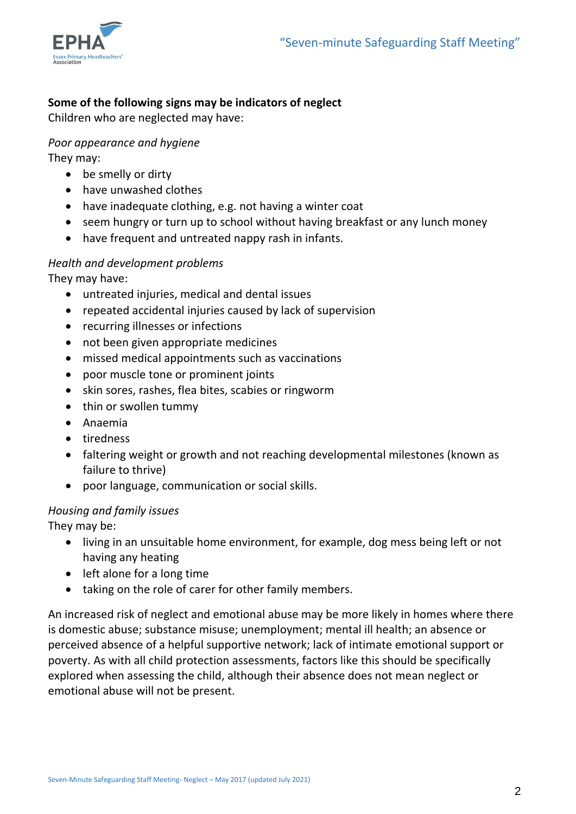

# **Some of the following signs may be indicators of neglect**

Children who are neglected may have:

# *Poor appearance and hygiene*

They may:

- be smelly or dirty
- have unwashed clothes
- have inadequate clothing, e.g. not having a winter coat
- seem hungry or turn up to school without having breakfast or any lunch money
- have frequent and untreated nappy rash in infants.

# *Health and development problems*

They may have:

- untreated injuries, medical and dental issues
- repeated accidental injuries caused by lack of supervision
- recurring illnesses or infections
- not been given appropriate medicines
- missed medical appointments such as vaccinations
- poor muscle tone or prominent joints
- skin sores, rashes, flea bites, scabies or ringworm
- thin or swollen tummy
- Anaemia
- tiredness
- faltering weight or growth and not reaching developmental milestones (known as failure to thrive)
- poor language, communication or social skills.

## *Housing and family issues*

They may be:

- living in an unsuitable home environment, for example, dog mess being left or not having any heating
- left alone for a long time
- taking on the role of carer for other family members.

An increased risk of neglect and emotional abuse may be more likely in homes where there is domestic abuse; substance misuse; unemployment; mental ill health; an absence or perceived absence of a helpful supportive network; lack of intimate emotional support or poverty. As with all child protection assessments, factors like this should be specifically explored when assessing the child, although their absence does not mean neglect or emotional abuse will not be present.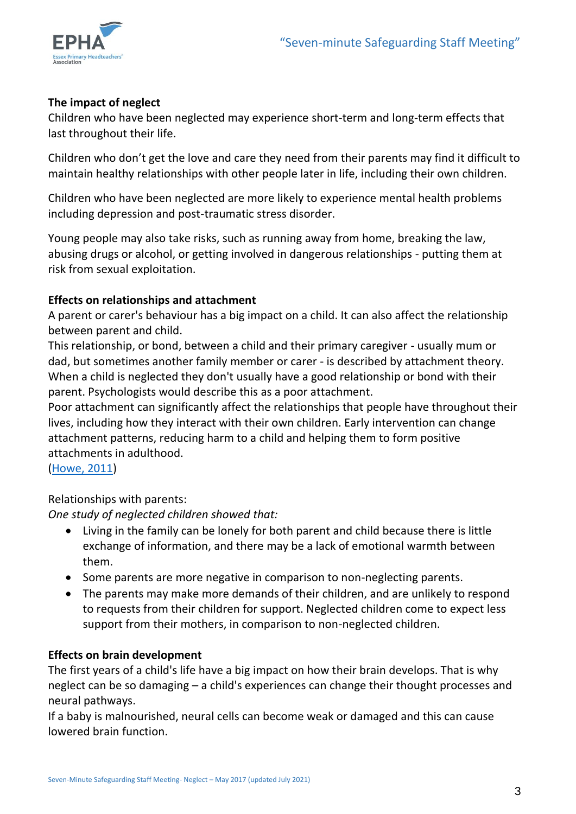

# **The impact of neglect**

Children who have been neglected may experience short-term and long-term effects that last throughout their life.

Children who don't get the love and care they need from their parents may find it difficult to maintain healthy relationships with other people later in life, including their own children.

Children who have been neglected are more likely to experience mental health problems including depression and post-traumatic stress disorder.

Young people may also take risks, such as running away from home, breaking the law, abusing drugs or alcohol, or getting involved in dangerous relationships - putting them at risk from sexual exploitation.

# **Effects on relationships and attachment**

A parent or carer's behaviour has a big impact on a child. It can also affect the relationship between parent and child.

This relationship, or bond, between a child and their primary caregiver - usually mum or dad, but sometimes another family member or carer - is described by attachment theory. When a child is neglected they don't usually have a good relationship or bond with their parent. Psychologists would describe this as a poor attachment.

Poor attachment can significantly affect the relationships that people have throughout their lives, including how they interact with their own children. Early intervention can change attachment patterns, reducing harm to a child and helping them to form positive attachments in adulthood.

[\(Howe, 2011\)](https://www.nspcc.org.uk/preventing-abuse/child-abuse-and-neglect/neglect/signs-symptoms-effects-neglect/#pageref2675)

Relationships with parents:

*One study of neglected children showed that:*

- Living in the family can be lonely for both parent and child because there is little exchange of information, and there may be a lack of emotional warmth between them.
- Some parents are more negative in comparison to non-neglecting parents.
- The parents may make more demands of their children, and are unlikely to respond to requests from their children for support. Neglected children come to expect less support from their mothers, in comparison to non-neglected children.

## **Effects on brain development**

The first years of a child's life have a big impact on how their brain develops. That is why neglect can be so damaging – a child's experiences can change their thought processes and neural pathways.

If a baby is malnourished, neural cells can become weak or damaged and this can cause lowered brain function.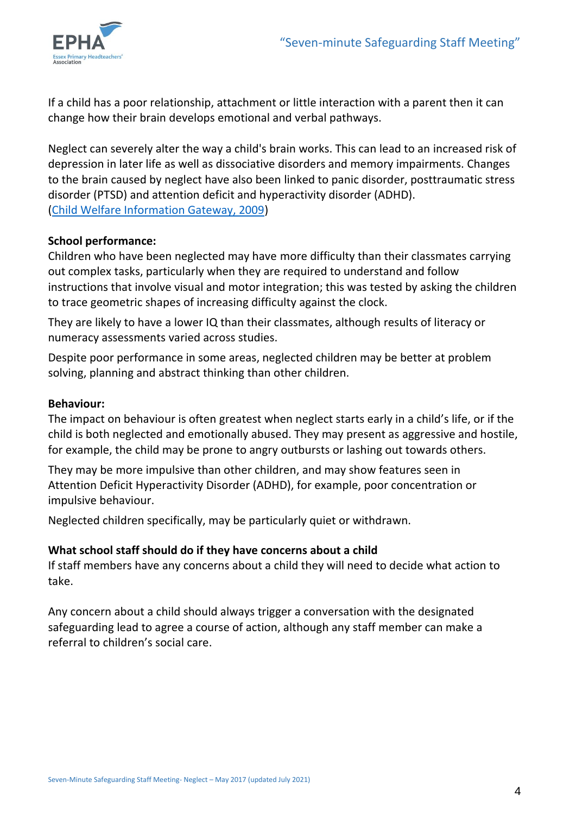

If a child has a poor relationship, attachment or little interaction with a parent then it can change how their brain develops emotional and verbal pathways.

Neglect can severely alter the way a child's brain works. This can lead to an increased risk of depression in later life as well as dissociative disorders and memory impairments. Changes to the brain caused by neglect have also been linked to panic disorder, posttraumatic stress disorder (PTSD) and attention deficit and hyperactivity disorder (ADHD). [\(Child Welfare Information Gateway, 2009\)](https://www.nspcc.org.uk/preventing-abuse/child-abuse-and-neglect/neglect/signs-symptoms-effects-neglect/#pageref2674)

#### **School performance:**

Children who have been neglected may have more difficulty than their classmates carrying out complex tasks, particularly when they are required to understand and follow instructions that involve visual and motor integration; this was tested by asking the children to trace geometric shapes of increasing difficulty against the clock.

They are likely to have a lower IQ than their classmates, although results of literacy or numeracy assessments varied across studies.

Despite poor performance in some areas, neglected children may be better at problem solving, planning and abstract thinking than other children.

#### **Behaviour:**

The impact on behaviour is often greatest when neglect starts early in a child's life, or if the child is both neglected and emotionally abused. They may present as aggressive and hostile, for example, the child may be prone to angry outbursts or lashing out towards others.

They may be more impulsive than other children, and may show features seen in Attention Deficit Hyperactivity Disorder (ADHD), for example, poor concentration or impulsive behaviour.

Neglected children specifically, may be particularly quiet or withdrawn.

## **What school staff should do if they have concerns about a child**

If staff members have any concerns about a child they will need to decide what action to take.

Any concern about a child should always trigger a conversation with the designated safeguarding lead to agree a course of action, although any staff member can make a referral to children's social care.